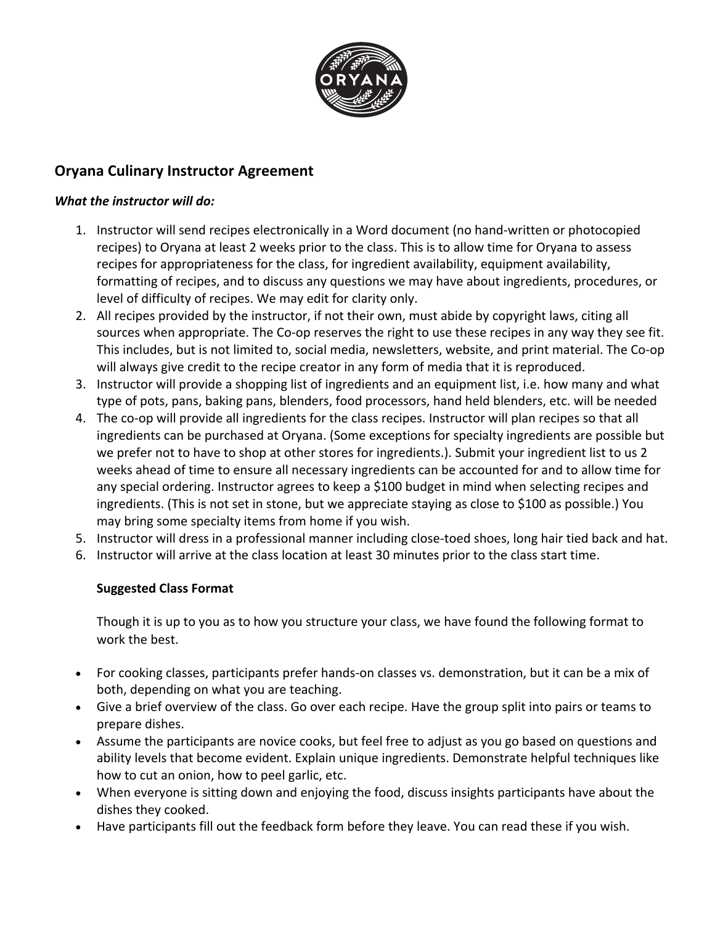

## **Oryana Culinary Instructor Agreement**

### *What the instructor will do:*

- 1. Instructor will send recipes electronically in a Word document (no hand-written or photocopied recipes) to Oryana at least 2 weeks prior to the class. This is to allow time for Oryana to assess recipes for appropriateness for the class, for ingredient availability, equipment availability, formatting of recipes, and to discuss any questions we may have about ingredients, procedures, or level of difficulty of recipes. We may edit for clarity only.
- 2. All recipes provided by the instructor, if not their own, must abide by copyright laws, citing all sources when appropriate. The Co-op reserves the right to use these recipes in any way they see fit. This includes, but is not limited to, social media, newsletters, website, and print material. The Co-op will always give credit to the recipe creator in any form of media that it is reproduced.
- 3. Instructor will provide a shopping list of ingredients and an equipment list, i.e. how many and what type of pots, pans, baking pans, blenders, food processors, hand held blenders, etc. will be needed
- 4. The co-op will provide all ingredients for the class recipes. Instructor will plan recipes so that all ingredients can be purchased at Oryana. (Some exceptions for specialty ingredients are possible but we prefer not to have to shop at other stores for ingredients.). Submit your ingredient list to us 2 weeks ahead of time to ensure all necessary ingredients can be accounted for and to allow time for any special ordering. Instructor agrees to keep a \$100 budget in mind when selecting recipes and ingredients. (This is not set in stone, but we appreciate staying as close to \$100 as possible.) You may bring some specialty items from home if you wish.
- 5. Instructor will dress in a professional manner including close-toed shoes, long hair tied back and hat.
- 6. Instructor will arrive at the class location at least 30 minutes prior to the class start time.

### **Suggested Class Format**

Though it is up to you as to how you structure your class, we have found the following format to work the best.

- For cooking classes, participants prefer hands-on classes vs. demonstration, but it can be a mix of both, depending on what you are teaching.
- Give a brief overview of the class. Go over each recipe. Have the group split into pairs or teams to prepare dishes.
- Assume the participants are novice cooks, but feel free to adjust as you go based on questions and ability levels that become evident. Explain unique ingredients. Demonstrate helpful techniques like how to cut an onion, how to peel garlic, etc.
- When everyone is sitting down and enjoying the food, discuss insights participants have about the dishes they cooked.
- Have participants fill out the feedback form before they leave. You can read these if you wish.